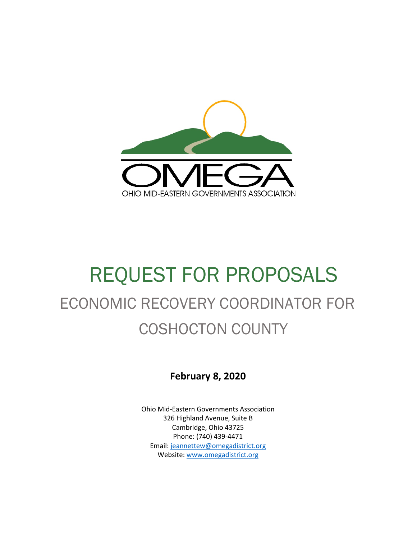

# REQUEST FOR PROPOSALS ECONOMIC RECOVERY COORDINATOR FOR COSHOCTON COUNTY

**February 8, 2020**

Ohio Mid-Eastern Governments Association 326 Highland Avenue, Suite B Cambridge, Ohio 43725 Phone: (740) 439-4471 Email: [jeannettew@omegadistrict.org](mailto:jeannettew@omegadistrict.org) Website: [www.omegadistrict.org](http://www.omegadistrict.org/)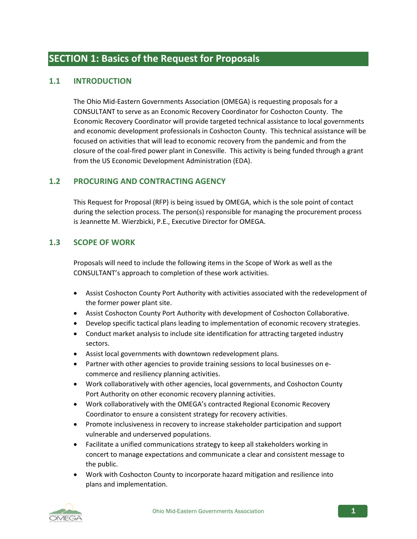## **SECTION 1: Basics of the Request for Proposals**

#### **1.1 INTRODUCTION**

The Ohio Mid-Eastern Governments Association (OMEGA) is requesting proposals for a CONSULTANT to serve as an Economic Recovery Coordinator for Coshocton County. The Economic Recovery Coordinator will provide targeted technical assistance to local governments and economic development professionals in Coshocton County. This technical assistance will be focused on activities that will lead to economic recovery from the pandemic and from the closure of the coal-fired power plant in Conesville. This activity is being funded through a grant from the US Economic Development Administration (EDA).

#### **1.2 PROCURING AND CONTRACTING AGENCY**

This Request for Proposal (RFP) is being issued by OMEGA, which is the sole point of contact during the selection process. The person(s) responsible for managing the procurement process is Jeannette M. Wierzbicki, P.E., Executive Director for OMEGA.

#### **1.3 SCOPE OF WORK**

Proposals will need to include the following items in the Scope of Work as well as the CONSULTANT's approach to completion of these work activities.

- Assist Coshocton County Port Authority with activities associated with the redevelopment of the former power plant site.
- Assist Coshocton County Port Authority with development of Coshocton Collaborative.
- Develop specific tactical plans leading to implementation of economic recovery strategies.
- Conduct market analysis to include site identification for attracting targeted industry sectors.
- Assist local governments with downtown redevelopment plans.
- Partner with other agencies to provide training sessions to local businesses on ecommerce and resiliency planning activities.
- Work collaboratively with other agencies, local governments, and Coshocton County Port Authority on other economic recovery planning activities.
- Work collaboratively with the OMEGA's contracted Regional Economic Recovery Coordinator to ensure a consistent strategy for recovery activities.
- Promote inclusiveness in recovery to increase stakeholder participation and support vulnerable and underserved populations.
- Facilitate a unified communications strategy to keep all stakeholders working in concert to manage expectations and communicate a clear and consistent message to the public.
- Work with Coshocton County to incorporate hazard mitigation and resilience into plans and implementation.

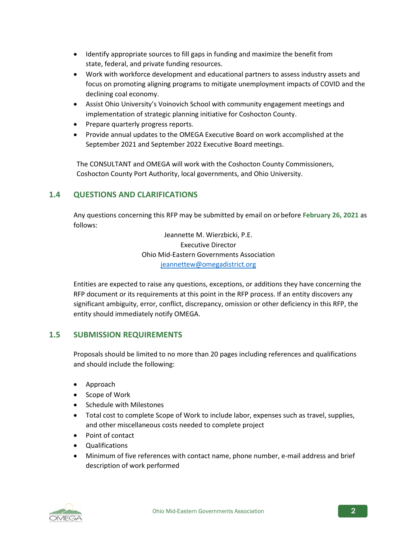- Identify appropriate sources to fill gaps in funding and maximize the benefit from state, federal, and private funding resources.
- Work with workforce development and educational partners to assess industry assets and focus on promoting aligning programs to mitigate unemployment impacts of COVID and the declining coal economy.
- Assist Ohio University's Voinovich School with community engagement meetings and implementation of strategic planning initiative for Coshocton County.
- Prepare quarterly progress reports.
- Provide annual updates to the OMEGA Executive Board on work accomplished at the September 2021 and September 2022 Executive Board meetings.

The CONSULTANT and OMEGA will work with the Coshocton County Commissioners, Coshocton County Port Authority, local governments, and Ohio University.

#### **1.4 QUESTIONS AND CLARIFICATIONS**

Any questions concerning this RFP may be submitted by email on orbefore **February 26, 2021** as follows:

> Jeannette M. Wierzbicki, P.E. Executive Director Ohio Mid-Eastern Governments Association [jeannettew@omegadistrict.org](mailto:jeannettew@omegadistrict.org)

Entities are expected to raise any questions, exceptions, or additions they have concerning the RFP document or its requirements at this point in the RFP process. If an entity discovers any significant ambiguity, error, conflict, discrepancy, omission or other deficiency in this RFP, the entity should immediately notify OMEGA.

#### **1.5 SUBMISSION REQUIREMENTS**

Proposals should be limited to no more than 20 pages including references and qualifications and should include the following:

- Approach
- Scope of Work
- Schedule with Milestones
- Total cost to complete Scope of Work to include labor, expenses such as travel, supplies, and other miscellaneous costs needed to complete project
- Point of contact
- Qualifications
- Minimum of five references with contact name, phone number, e-mail address and brief description of work performed

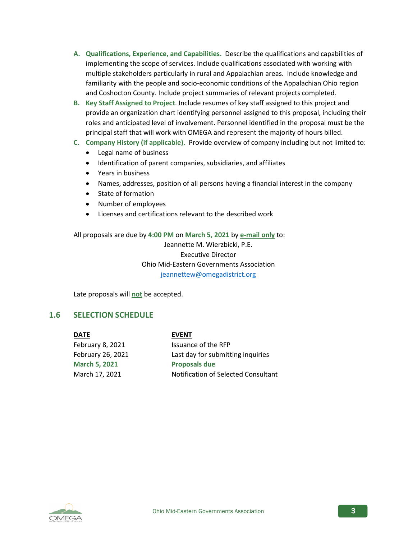- **A. Qualifications, Experience, and Capabilities.** Describe the qualifications and capabilities of implementing the scope of services. Include qualifications associated with working with multiple stakeholders particularly in rural and Appalachian areas. Include knowledge and familiarity with the people and socio-economic conditions of the Appalachian Ohio region and Coshocton County. Include project summaries of relevant projects completed.
- **B. Key Staff Assigned to Project**. Include resumes of key staff assigned to this project and provide an organization chart identifying personnel assigned to this proposal, including their roles and anticipated level of involvement. Personnel identified in the proposal must be the principal staff that will work with OMEGA and represent the majority of hours billed.
- **C. Company History (if applicable).** Provide overview of company including but not limited to:
	- Legal name of business
	- Identification of parent companies, subsidiaries, and affiliates
	- Years in business
	- Names, addresses, position of all persons having a financial interest in the company
	- State of formation
	- Number of employees
	- Licenses and certifications relevant to the described work

All proposals are due by **4:00 PM** on **March 5, 2021** by **e-mail only** to: Jeannette M. Wierzbicki, P.E. Executive Director Ohio Mid-Eastern Governments Association [jeannettew@omegadistrict.org](mailto:jeannettew@omegadistrict.org)

Late proposals will **not** be accepted.

#### **1.6 SELECTION SCHEDULE**

**DATE EVENT**

February 8, 2021 Issuance of the RFP **March 5, 2021 Proposals due**

February 26, 2021 Last day for submitting inquiries March 17, 2021 Notification of Selected Consultant

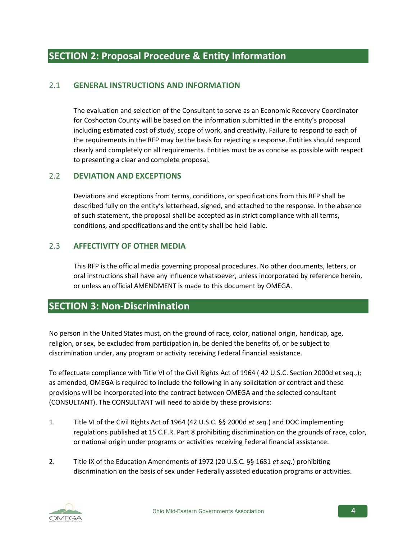#### 2.1 **GENERAL INSTRUCTIONS AND INFORMATION**

The evaluation and selection of the Consultant to serve as an Economic Recovery Coordinator for Coshocton County will be based on the information submitted in the entity's proposal including estimated cost of study, scope of work, and creativity. Failure to respond to each of the requirements in the RFP may be the basis for rejecting a response. Entities should respond clearly and completely on all requirements. Entities must be as concise as possible with respect to presenting a clear and complete proposal.

#### 2.2 **DEVIATION AND EXCEPTIONS**

Deviations and exceptions from terms, conditions, or specifications from this RFP shall be described fully on the entity's letterhead, signed, and attached to the response. In the absence of such statement, the proposal shall be accepted as in strict compliance with all terms, conditions, and specifications and the entity shall be held liable.

#### 2.3 **AFFECTIVITY OF OTHER MEDIA**

This RFP is the official media governing proposal procedures. No other documents, letters, or oral instructions shall have any influence whatsoever, unless incorporated by reference herein, or unless an official AMENDMENT is made to this document by OMEGA.

## **SECTION 3: Non-Discrimination**

No person in the United States must, on the ground of race, color, national origin, handicap, age, religion, or sex, be excluded from participation in, be denied the benefits of, or be subject to discrimination under, any program or activity receiving Federal financial assistance.

To effectuate compliance with Title VI of the Civil Rights Act of 1964 ( 42 U.S.C. Section 2000d et seq.,); as amended, OMEGA is required to include the following in any solicitation or contract and these provisions will be incorporated into the contract between OMEGA and the selected consultant (CONSULTANT). The CONSULTANT will need to abide by these provisions:

- 1. Title VI of the Civil Rights Act of 1964 (42 U.S.C. §§ 2000d *et seq.*) and DOC implementing regulations published at 15 C.F.R. Part 8 prohibiting discrimination on the grounds of race, color, or national origin under programs or activities receiving Federal financial assistance.
- 2. Title IX of the Education Amendments of 1972 (20 U.S.C. §§ 1681 *et seq.*) prohibiting discrimination on the basis of sex under Federally assisted education programs or activities.

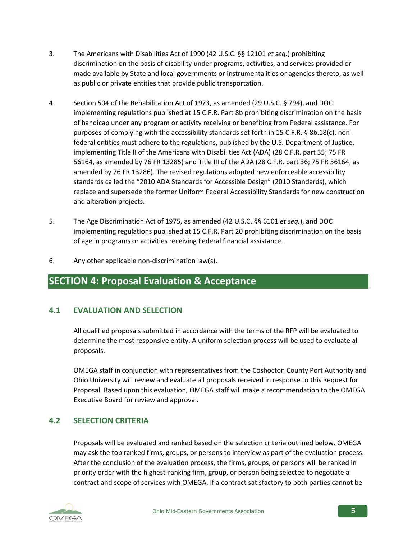- 3. The Americans with Disabilities Act of 1990 (42 U.S.C. §§ 12101 *et seq.*) prohibiting discrimination on the basis of disability under programs, activities, and services provided or made available by State and local governments or instrumentalities or agencies thereto, as well as public or private entities that provide public transportation.
- 4. Section 504 of the Rehabilitation Act of 1973, as amended (29 U.S.C. § 794), and DOC implementing regulations published at 15 C.F.R. Part 8b prohibiting discrimination on the basis of handicap under any program or activity receiving or benefiting from Federal assistance. For purposes of complying with the accessibility standards set forth in 15 C.F.R. § 8b.18(c), nonfederal entities must adhere to the regulations, published by the U.S. Department of Justice, implementing Title II of the Americans with Disabilities Act (ADA) (28 C.F.R. part 35; 75 FR 56164, as amended by 76 FR 13285) and Title III of the ADA (28 C.F.R. part 36; 75 FR 56164, as amended by 76 FR 13286). The revised regulations adopted new enforceable accessibility standards called the "2010 ADA Standards for Accessible Design" (2010 Standards), which replace and supersede the former Uniform Federal Accessibility Standards for new construction and alteration projects.
- 5. The Age Discrimination Act of 1975, as amended (42 U.S.C. §§ 6101 *et seq.*), and DOC implementing regulations published at 15 C.F.R. Part 20 prohibiting discrimination on the basis of age in programs or activities receiving Federal financial assistance.
- 6. Any other applicable non-discrimination law(s).

## **SECTION 4: Proposal Evaluation & Acceptance**

#### **4.1 EVALUATION AND SELECTION**

All qualified proposals submitted in accordance with the terms of the RFP will be evaluated to determine the most responsive entity. A uniform selection process will be used to evaluate all proposals.

OMEGA staff in conjunction with representatives from the Coshocton County Port Authority and Ohio University will review and evaluate all proposals received in response to this Request for Proposal. Based upon this evaluation, OMEGA staff will make a recommendation to the OMEGA Executive Board for review and approval.

#### **4.2 SELECTION CRITERIA**

Proposals will be evaluated and ranked based on the selection criteria outlined below. OMEGA may ask the top ranked firms, groups, or persons to interview as part of the evaluation process. After the conclusion of the evaluation process, the firms, groups, or persons will be ranked in priority order with the highest-ranking firm, group, or person being selected to negotiate a contract and scope of services with OMEGA. If a contract satisfactory to both parties cannot be